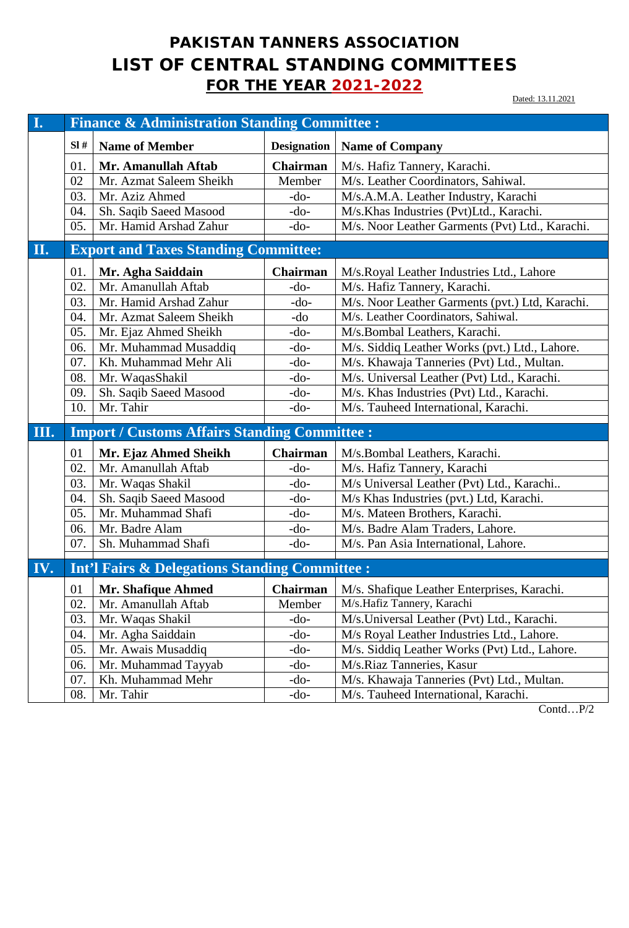## PAKISTAN TANNERS ASSOCIATION LIST OF CENTRAL STANDING COMMITTEES **FOR THE YEAR 2021-2022**

Dated: 13.11.2021

| I.  | <b>Finance &amp; Administration Standing Committee:</b> |                                                           |                    |                                                 |  |
|-----|---------------------------------------------------------|-----------------------------------------------------------|--------------------|-------------------------------------------------|--|
|     | SI#                                                     | <b>Name of Member</b>                                     | <b>Designation</b> | <b>Name of Company</b>                          |  |
|     | 01.                                                     | Mr. Amanullah Aftab                                       | <b>Chairman</b>    | M/s. Hafiz Tannery, Karachi.                    |  |
|     | 02                                                      | Mr. Azmat Saleem Sheikh                                   | Member             | M/s. Leather Coordinators, Sahiwal.             |  |
|     | 03.                                                     | Mr. Aziz Ahmed                                            | $-do-$             | M/s.A.M.A. Leather Industry, Karachi            |  |
|     | 04.                                                     | Sh. Saqib Saeed Masood                                    | $-do-$             | M/s.Khas Industries (Pvt)Ltd., Karachi.         |  |
|     | 05.                                                     | Mr. Hamid Arshad Zahur                                    | $-do-$             | M/s. Noor Leather Garments (Pvt) Ltd., Karachi. |  |
| П.  |                                                         | <b>Export and Taxes Standing Committee:</b>               |                    |                                                 |  |
|     |                                                         |                                                           |                    |                                                 |  |
|     | 01.                                                     | Mr. Agha Saiddain                                         | Chairman           | M/s.Royal Leather Industries Ltd., Lahore       |  |
|     | 02.                                                     | Mr. Amanullah Aftab                                       | $-do-$             | M/s. Hafiz Tannery, Karachi.                    |  |
|     | 03.                                                     | Mr. Hamid Arshad Zahur                                    | $-do-$             | M/s. Noor Leather Garments (pvt.) Ltd, Karachi. |  |
|     | 04.                                                     | Mr. Azmat Saleem Sheikh                                   | -do                | M/s. Leather Coordinators, Sahiwal.             |  |
|     | 05.                                                     | Mr. Ejaz Ahmed Sheikh                                     | $-do-$             | M/s.Bombal Leathers, Karachi.                   |  |
|     | 06.                                                     | Mr. Muhammad Musaddiq                                     | $-do-$             | M/s. Siddiq Leather Works (pvt.) Ltd., Lahore.  |  |
|     | 07.                                                     | Kh. Muhammad Mehr Ali                                     | $-do-$             | M/s. Khawaja Tanneries (Pvt) Ltd., Multan.      |  |
|     | 08.                                                     | Mr. WaqasShakil                                           | $-do-$             | M/s. Universal Leather (Pvt) Ltd., Karachi.     |  |
|     | 09.                                                     | Sh. Saqib Saeed Masood                                    | $-do-$             | M/s. Khas Industries (Pvt) Ltd., Karachi.       |  |
|     | 10.                                                     | Mr. Tahir                                                 | $-do-$             | M/s. Tauheed International, Karachi.            |  |
| Ш.  |                                                         | <b>Import / Customs Affairs Standing Committee :</b>      |                    |                                                 |  |
|     | 01                                                      | Mr. Ejaz Ahmed Sheikh                                     | Chairman           | M/s.Bombal Leathers, Karachi.                   |  |
|     | 02.                                                     | Mr. Amanullah Aftab                                       | $-do-$             | M/s. Hafiz Tannery, Karachi                     |  |
|     | 03.                                                     | Mr. Waqas Shakil                                          | $-do-$             | M/s Universal Leather (Pvt) Ltd., Karachi       |  |
|     | 04.                                                     | Sh. Saqib Saeed Masood                                    | $-do-$             | M/s Khas Industries (pvt.) Ltd, Karachi.        |  |
|     | 05.                                                     | Mr. Muhammad Shafi                                        | -do-               | M/s. Mateen Brothers, Karachi.                  |  |
|     | 06.                                                     | Mr. Badre Alam                                            | $-do-$             | M/s. Badre Alam Traders, Lahore.                |  |
|     | 07.                                                     | Sh. Muhammad Shafi                                        | $-do-$             | M/s. Pan Asia International, Lahore.            |  |
|     |                                                         |                                                           |                    |                                                 |  |
| IV. |                                                         | <b>Int'l Fairs &amp; Delegations Standing Committee :</b> |                    |                                                 |  |
|     | 01                                                      | Mr. Shafique Ahmed                                        | Chairman           | M/s. Shafique Leather Enterprises, Karachi.     |  |
|     | 02.                                                     | Mr. Amanullah Aftab                                       | Member             | M/s.Hafiz Tannery, Karachi                      |  |
|     | 03.                                                     | Mr. Waqas Shakil                                          | $-do-$             | M/s. Universal Leather (Pvt) Ltd., Karachi.     |  |
|     | 04.                                                     | Mr. Agha Saiddain                                         | -do-               | M/s Royal Leather Industries Ltd., Lahore.      |  |
|     | 05.                                                     | Mr. Awais Musaddiq                                        | $-do-$             | M/s. Siddiq Leather Works (Pvt) Ltd., Lahore.   |  |
|     | 06.                                                     | Mr. Muhammad Tayyab                                       | $-do-$             | M/s.Riaz Tanneries, Kasur                       |  |
|     | 07.                                                     | Kh. Muhammad Mehr                                         | $-do-$             | M/s. Khawaja Tanneries (Pvt) Ltd., Multan.      |  |
|     | 08.                                                     | Mr. Tahir                                                 | -do-               | M/s. Tauheed International, Karachi.            |  |

Contd…P/2